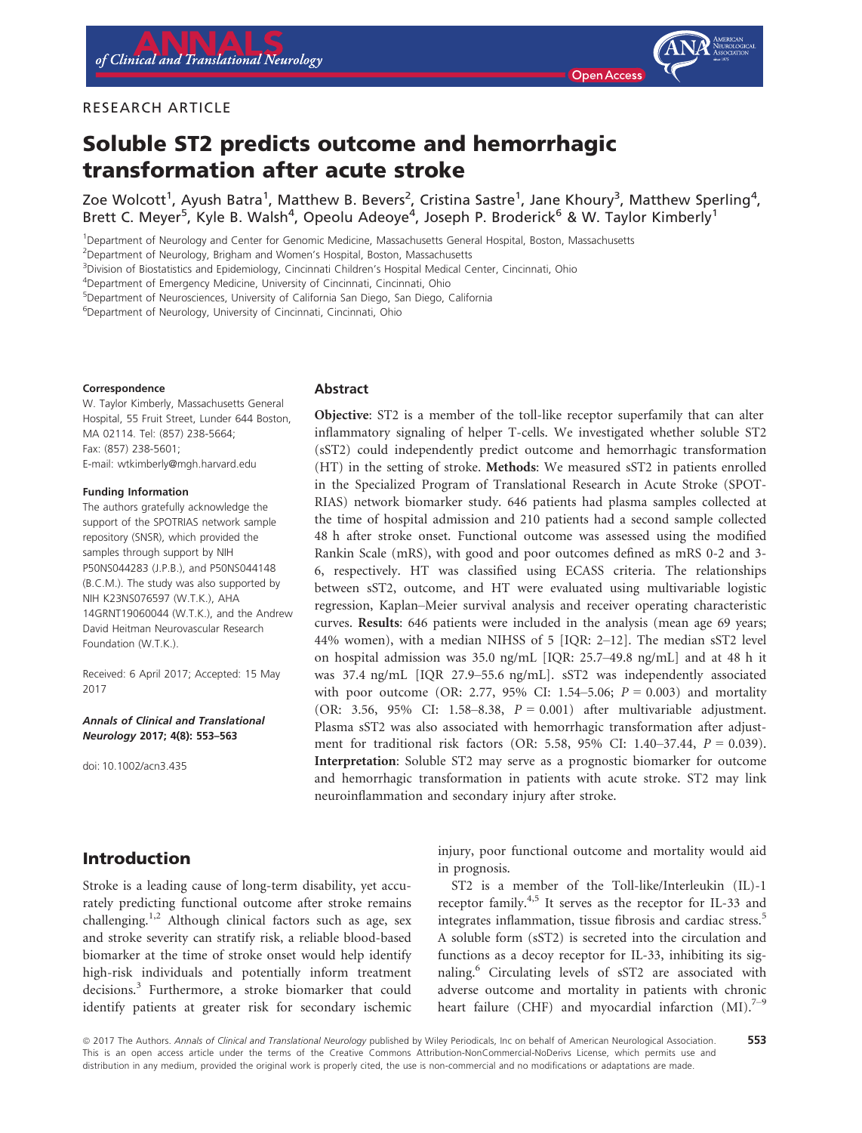### RESEARCH ARTICLE



# Soluble ST2 predicts outcome and hemorrhagic transformation after acute stroke

Zoe Wolcott $^1$ , Ayush Batra $^1$ , Matthew B. Bevers $^2$ , Cristina Sastre $^1$ , Jane Khoury $^3$ , Matthew Sperling $^4$ , Brett C. Meyer<sup>5</sup>, Kyle B. Walsh<sup>4</sup>, Opeolu Adeoye<sup>4</sup>, Joseph P. Broderick<sup>6</sup> & W. Taylor Kimberly<sup>1</sup>

1 Department of Neurology and Center for Genomic Medicine, Massachusetts General Hospital, Boston, Massachusetts

<sup>2</sup>Department of Neurology, Brigham and Women's Hospital, Boston, Massachusetts

3 Division of Biostatistics and Epidemiology, Cincinnati Children's Hospital Medical Center, Cincinnati, Ohio

4 Department of Emergency Medicine, University of Cincinnati, Cincinnati, Ohio

5 Department of Neurosciences, University of California San Diego, San Diego, California

6 Department of Neurology, University of Cincinnati, Cincinnati, Ohio

#### Correspondence

W. Taylor Kimberly, Massachusetts General Hospital, 55 Fruit Street, Lunder 644 Boston, MA 02114. Tel: (857) 238-5664; Fax: (857) 238-5601; E-mail: wtkimberly@mgh.harvard.edu

#### Funding Information

The authors gratefully acknowledge the support of the SPOTRIAS network sample repository (SNSR), which provided the samples through support by NIH P50NS044283 (J.P.B.), and P50NS044148 (B.C.M.). The study was also supported by NIH K23NS076597 (W.T.K.), AHA 14GRNT19060044 (W.T.K.), and the Andrew David Heitman Neurovascular Research Foundation (W.T.K.).

Received: 6 April 2017; Accepted: 15 May 2017

Annals of Clinical and Translational Neurology 2017; 4(8): 553–563

doi: 10.1002/acn3.435

#### Abstract

Objective: ST2 is a member of the toll-like receptor superfamily that can alter inflammatory signaling of helper T-cells. We investigated whether soluble ST2 (sST2) could independently predict outcome and hemorrhagic transformation (HT) in the setting of stroke. Methods: We measured sST2 in patients enrolled in the Specialized Program of Translational Research in Acute Stroke (SPOT-RIAS) network biomarker study. 646 patients had plasma samples collected at the time of hospital admission and 210 patients had a second sample collected 48 h after stroke onset. Functional outcome was assessed using the modified Rankin Scale (mRS), with good and poor outcomes defined as mRS 0-2 and 3- 6, respectively. HT was classified using ECASS criteria. The relationships between sST2, outcome, and HT were evaluated using multivariable logistic regression, Kaplan–Meier survival analysis and receiver operating characteristic curves. Results: 646 patients were included in the analysis (mean age 69 years; 44% women), with a median NIHSS of 5 [IQR: 2–12]. The median sST2 level on hospital admission was 35.0 ng/mL [IQR: 25.7–49.8 ng/mL] and at 48 h it was 37.4 ng/mL [IQR 27.9–55.6 ng/mL]. sST2 was independently associated with poor outcome (OR: 2.77, 95% CI: 1.54–5.06;  $P = 0.003$ ) and mortality (OR: 3.56, 95% CI: 1.58–8.38,  $P = 0.001$ ) after multivariable adjustment. Plasma sST2 was also associated with hemorrhagic transformation after adjustment for traditional risk factors (OR: 5.58, 95% CI: 1.40–37.44, P <sup>=</sup> 0.039). Interpretation: Soluble ST2 may serve as a prognostic biomarker for outcome and hemorrhagic transformation in patients with acute stroke. ST2 may link neuroinflammation and secondary injury after stroke.

Introduction

Stroke is a leading cause of long-term disability, yet accurately predicting functional outcome after stroke remains challenging.<sup>1,2</sup> Although clinical factors such as age, sex and stroke severity can stratify risk, a reliable blood-based biomarker at the time of stroke onset would help identify high-risk individuals and potentially inform treatment decisions.<sup>3</sup> Furthermore, a stroke biomarker that could identify patients at greater risk for secondary ischemic injury, poor functional outcome and mortality would aid in prognosis.

ST2 is a member of the Toll-like/Interleukin (IL)-1 receptor family.4,5 It serves as the receptor for IL-33 and integrates inflammation, tissue fibrosis and cardiac stress.<sup>5</sup> A soluble form (sST2) is secreted into the circulation and functions as a decoy receptor for IL-33, inhibiting its signaling.<sup>6</sup> Circulating levels of sST2 are associated with adverse outcome and mortality in patients with chronic heart failure (CHF) and myocardial infarction  $(MI).<sup>7-9</sup>$ 

@ 2017 The Authors. Annals of Clinical and Translational Neurology published by Wiley Periodicals, Inc on behalf of American Neurological Association. This is an open access article under the terms of the [Creative Commons Attribution-NonCommercial-NoDerivs](http://creativecommons.org/licenses/by-nc-nd/4.0/) License, which permits use and distribution in any medium, provided the original work is properly cited, the use is non-commercial and no modifications or adaptations are made. 553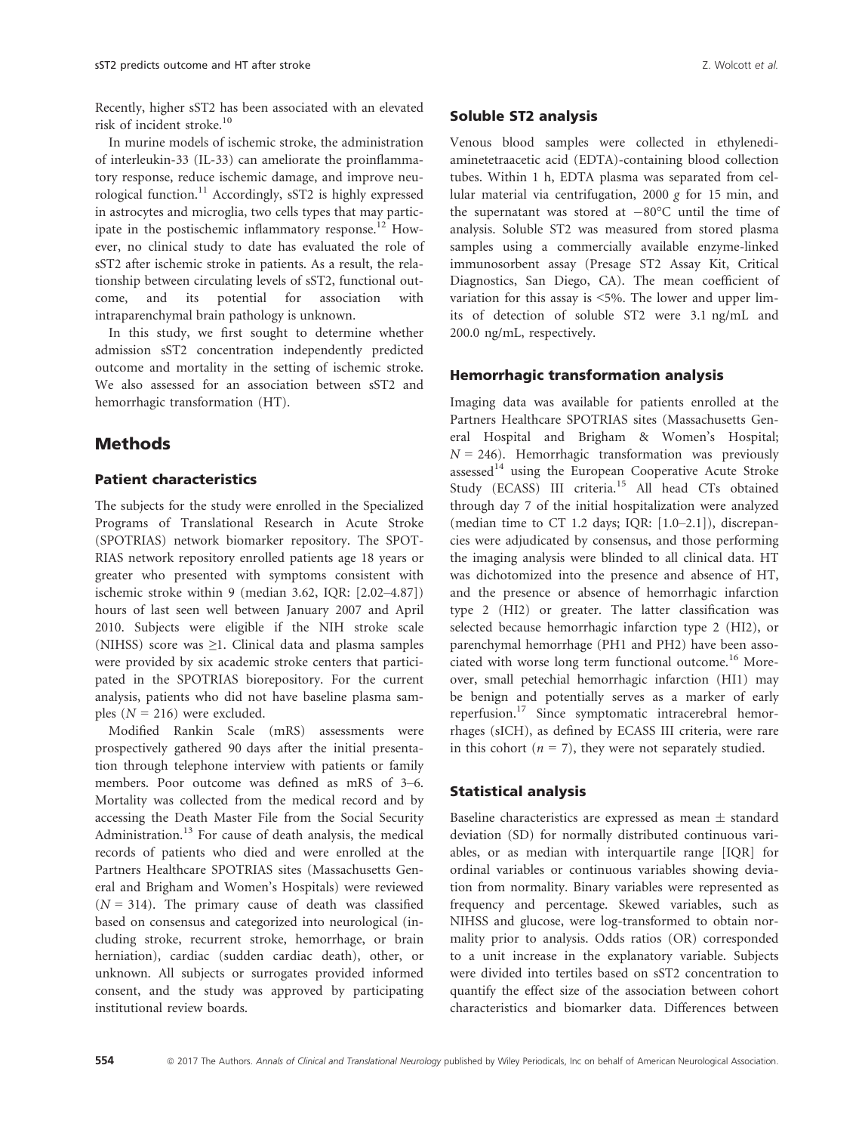Recently, higher sST2 has been associated with an elevated risk of incident stroke.<sup>10</sup>

In murine models of ischemic stroke, the administration of interleukin-33 (IL-33) can ameliorate the proinflammatory response, reduce ischemic damage, and improve neurological function.<sup>11</sup> Accordingly, sST2 is highly expressed in astrocytes and microglia, two cells types that may participate in the postischemic inflammatory response.<sup>12</sup> However, no clinical study to date has evaluated the role of sST2 after ischemic stroke in patients. As a result, the relationship between circulating levels of sST2, functional outcome, and its potential for association with intraparenchymal brain pathology is unknown.

In this study, we first sought to determine whether admission sST2 concentration independently predicted outcome and mortality in the setting of ischemic stroke. We also assessed for an association between sST2 and hemorrhagic transformation (HT).

### Methods

### Patient characteristics

The subjects for the study were enrolled in the Specialized Programs of Translational Research in Acute Stroke (SPOTRIAS) network biomarker repository. The SPOT-RIAS network repository enrolled patients age 18 years or greater who presented with symptoms consistent with ischemic stroke within 9 (median 3.62, IQR: [2.02–4.87]) hours of last seen well between January 2007 and April 2010. Subjects were eligible if the NIH stroke scale (NIHSS) score was ≥1. Clinical data and plasma samples were provided by six academic stroke centers that participated in the SPOTRIAS biorepository. For the current analysis, patients who did not have baseline plasma samples  $(N = 216)$  were excluded.

Modified Rankin Scale (mRS) assessments were prospectively gathered 90 days after the initial presentation through telephone interview with patients or family members. Poor outcome was defined as mRS of 3–6. Mortality was collected from the medical record and by accessing the Death Master File from the Social Security Administration.<sup>13</sup> For cause of death analysis, the medical records of patients who died and were enrolled at the Partners Healthcare SPOTRIAS sites (Massachusetts General and Brigham and Women's Hospitals) were reviewed  $(N = 314)$ . The primary cause of death was classified based on consensus and categorized into neurological (including stroke, recurrent stroke, hemorrhage, or brain herniation), cardiac (sudden cardiac death), other, or unknown. All subjects or surrogates provided informed consent, and the study was approved by participating institutional review boards.

### Soluble ST2 analysis

Venous blood samples were collected in ethylenediaminetetraacetic acid (EDTA)-containing blood collection tubes. Within 1 h, EDTA plasma was separated from cellular material via centrifugation, 2000 g for 15 min, and the supernatant was stored at  $-80^{\circ}$ C until the time of analysis. Soluble ST2 was measured from stored plasma samples using a commercially available enzyme-linked immunosorbent assay (Presage ST2 Assay Kit, Critical Diagnostics, San Diego, CA). The mean coefficient of variation for this assay is <5%. The lower and upper limits of detection of soluble ST2 were 3.1 ng/mL and 200.0 ng/mL, respectively.

#### Hemorrhagic transformation analysis

Imaging data was available for patients enrolled at the Partners Healthcare SPOTRIAS sites (Massachusetts General Hospital and Brigham & Women's Hospital;  $N = 246$ ). Hemorrhagic transformation was previously assessed<sup>14</sup> using the European Cooperative Acute Stroke Study (ECASS) III criteria.<sup>15</sup> All head CTs obtained through day 7 of the initial hospitalization were analyzed (median time to CT 1.2 days; IQR: [1.0–2.1]), discrepancies were adjudicated by consensus, and those performing the imaging analysis were blinded to all clinical data. HT was dichotomized into the presence and absence of HT, and the presence or absence of hemorrhagic infarction type 2 (HI2) or greater. The latter classification was selected because hemorrhagic infarction type 2 (HI2), or parenchymal hemorrhage (PH1 and PH2) have been associated with worse long term functional outcome.<sup>16</sup> Moreover, small petechial hemorrhagic infarction (HI1) may be benign and potentially serves as a marker of early reperfusion.<sup>17</sup> Since symptomatic intracerebral hemorrhages (sICH), as defined by ECASS III criteria, were rare in this cohort ( $n = 7$ ), they were not separately studied.

### Statistical analysis

Baseline characteristics are expressed as mean  $\pm$  standard deviation (SD) for normally distributed continuous variables, or as median with interquartile range [IQR] for ordinal variables or continuous variables showing deviation from normality. Binary variables were represented as frequency and percentage. Skewed variables, such as NIHSS and glucose, were log-transformed to obtain normality prior to analysis. Odds ratios (OR) corresponded to a unit increase in the explanatory variable. Subjects were divided into tertiles based on sST2 concentration to quantify the effect size of the association between cohort characteristics and biomarker data. Differences between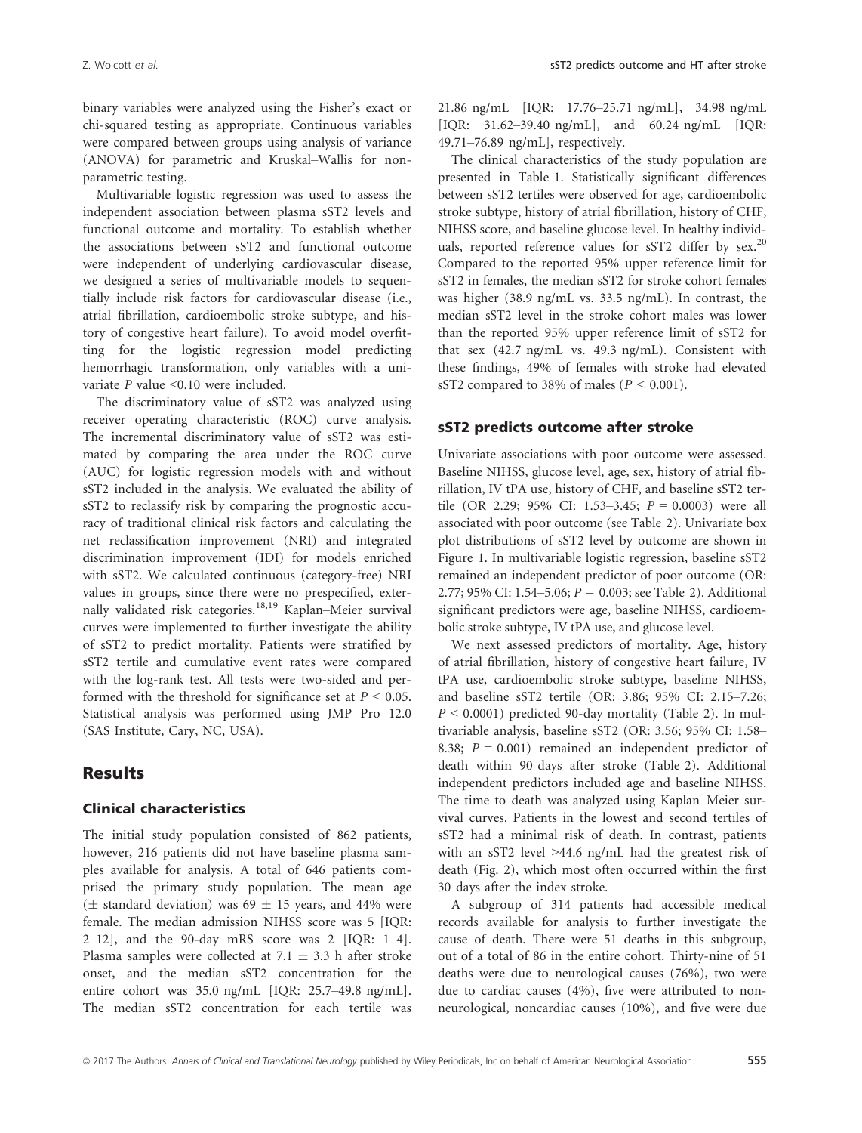binary variables were analyzed using the Fisher's exact or chi-squared testing as appropriate. Continuous variables were compared between groups using analysis of variance (ANOVA) for parametric and Kruskal–Wallis for nonparametric testing.

Multivariable logistic regression was used to assess the independent association between plasma sST2 levels and functional outcome and mortality. To establish whether the associations between sST2 and functional outcome were independent of underlying cardiovascular disease, we designed a series of multivariable models to sequentially include risk factors for cardiovascular disease (i.e., atrial fibrillation, cardioembolic stroke subtype, and history of congestive heart failure). To avoid model overfitting for the logistic regression model predicting hemorrhagic transformation, only variables with a univariate P value <sup>&</sup>lt;0.10 were included.

The discriminatory value of sST2 was analyzed using receiver operating characteristic (ROC) curve analysis. The incremental discriminatory value of sST2 was estimated by comparing the area under the ROC curve (AUC) for logistic regression models with and without sST2 included in the analysis. We evaluated the ability of sST2 to reclassify risk by comparing the prognostic accuracy of traditional clinical risk factors and calculating the net reclassification improvement (NRI) and integrated discrimination improvement (IDI) for models enriched with sST2. We calculated continuous (category-free) NRI values in groups, since there were no prespecified, externally validated risk categories.<sup>18,19</sup> Kaplan–Meier survival curves were implemented to further investigate the ability of sST2 to predict mortality. Patients were stratified by sST2 tertile and cumulative event rates were compared with the log-rank test. All tests were two-sided and performed with the threshold for significance set at  $P < 0.05$ . Statistical analysis was performed using JMP Pro 12.0 (SAS Institute, Cary, NC, USA).

### **Results**

### Clinical characteristics

The initial study population consisted of 862 patients, however, 216 patients did not have baseline plasma samples available for analysis. A total of 646 patients comprised the primary study population. The mean age ( $\pm$  standard deviation) was 69  $\pm$  15 years, and 44% were female. The median admission NIHSS score was 5 [IQR:  $2-12$ ], and the 90-day mRS score was 2 [IQR: 1-4]. Plasma samples were collected at 7.1  $\pm$  3.3 h after stroke onset, and the median sST2 concentration for the entire cohort was 35.0 ng/mL [IQR: 25.7–49.8 ng/mL]. The median sST2 concentration for each tertile was 21.86 ng/mL [IQR: 17.76–25.71 ng/mL], 34.98 ng/mL [IQR: 31.62–39.40 ng/mL], and 60.24 ng/mL [IQR: 49.71–76.89 ng/mL], respectively.

The clinical characteristics of the study population are presented in Table 1. Statistically significant differences between sST2 tertiles were observed for age, cardioembolic stroke subtype, history of atrial fibrillation, history of CHF, NIHSS score, and baseline glucose level. In healthy individuals, reported reference values for sST2 differ by sex.<sup>20</sup> Compared to the reported 95% upper reference limit for sST2 in females, the median sST2 for stroke cohort females was higher (38.9 ng/mL vs. 33.5 ng/mL). In contrast, the median sST2 level in the stroke cohort males was lower than the reported 95% upper reference limit of sST2 for that sex (42.7 ng/mL vs. 49.3 ng/mL). Consistent with these findings, 49% of females with stroke had elevated sST2 compared to 38% of males ( $P < 0.001$ ).

#### sST2 predicts outcome after stroke

Univariate associations with poor outcome were assessed. Baseline NIHSS, glucose level, age, sex, history of atrial fibrillation, IV tPA use, history of CHF, and baseline sST2 tertile (OR 2.29; 95% CI: 1.53–3.45;  $P = 0.0003$ ) were all associated with poor outcome (see Table 2). Univariate box plot distributions of sST2 level by outcome are shown in Figure 1. In multivariable logistic regression, baseline sST2 remained an independent predictor of poor outcome (OR: 2.77; 95% CI: 1.54–5.06;  $P = 0.003$ ; see Table 2). Additional significant predictors were age, baseline NIHSS, cardioembolic stroke subtype, IV tPA use, and glucose level.

We next assessed predictors of mortality. Age, history of atrial fibrillation, history of congestive heart failure, IV tPA use, cardioembolic stroke subtype, baseline NIHSS, and baseline sST2 tertile (OR: 3.86; 95% CI: 2.15–7.26;  $P < 0.0001$ ) predicted 90-day mortality (Table 2). In multivariable analysis, baseline sST2 (OR: 3.56; 95% CI: 1.58– 8.38;  $P = 0.001$ ) remained an independent predictor of death within 90 days after stroke (Table 2). Additional independent predictors included age and baseline NIHSS. The time to death was analyzed using Kaplan–Meier survival curves. Patients in the lowest and second tertiles of sST2 had a minimal risk of death. In contrast, patients with an sST2 level >44.6 ng/mL had the greatest risk of death (Fig. 2), which most often occurred within the first 30 days after the index stroke.

A subgroup of 314 patients had accessible medical records available for analysis to further investigate the cause of death. There were 51 deaths in this subgroup, out of a total of 86 in the entire cohort. Thirty-nine of 51 deaths were due to neurological causes (76%), two were due to cardiac causes (4%), five were attributed to nonneurological, noncardiac causes (10%), and five were due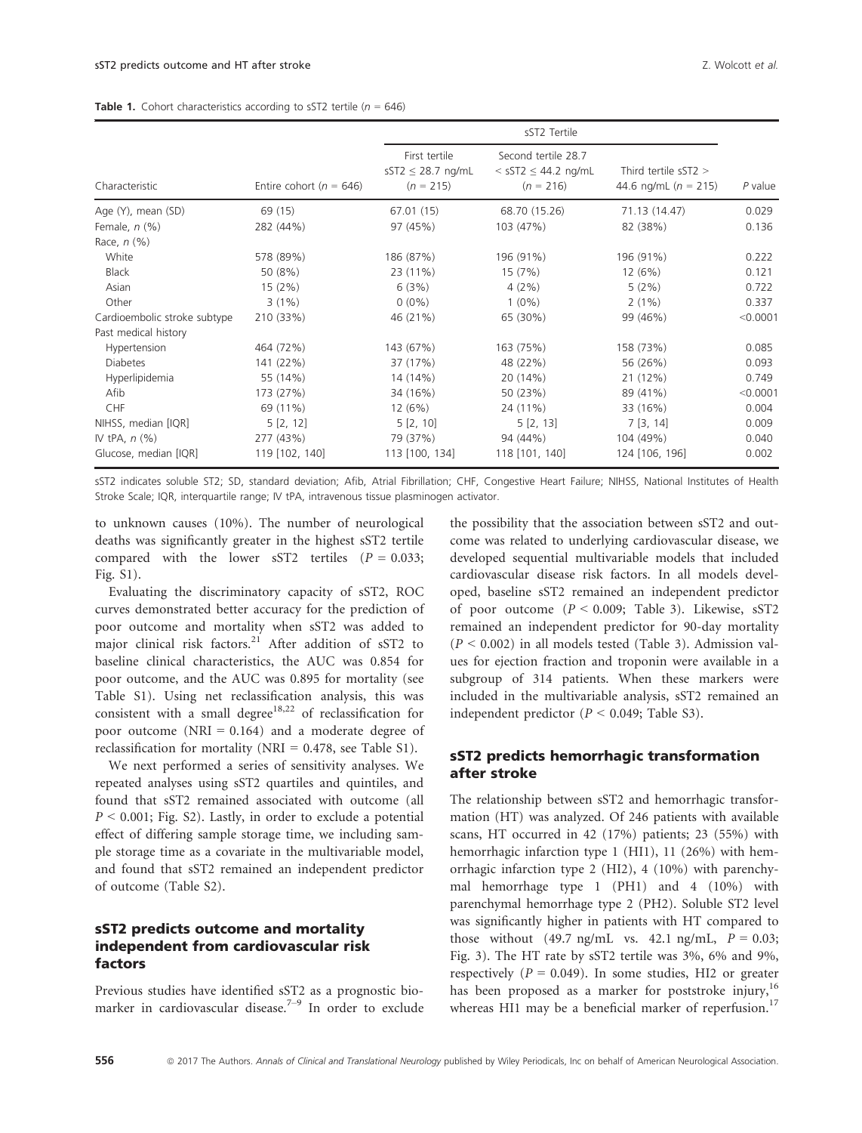| <b>Table 1.</b> Cohort characteristics according to sST2 tertile ( $n = 646$ ) |  |
|--------------------------------------------------------------------------------|--|
|--------------------------------------------------------------------------------|--|

|                              |                             | sST2 Tertile                                           |                                                                  |                                                  |          |  |  |
|------------------------------|-----------------------------|--------------------------------------------------------|------------------------------------------------------------------|--------------------------------------------------|----------|--|--|
| Characteristic               | Entire cohort ( $n = 646$ ) | First tertile<br>$sST2 \leq 28.7$ ng/mL<br>$(n = 215)$ | Second tertile 28.7<br>$<$ sST2 $\leq$ 44.2 ng/mL<br>$(n = 216)$ | Third tertile $sST2 >$<br>44.6 ng/mL $(n = 215)$ | P value  |  |  |
| Age (Y), mean (SD)           | 69 (15)                     | 67.01(15)                                              | 68.70 (15.26)                                                    | 71.13 (14.47)                                    | 0.029    |  |  |
| Female, $n$ $(\%)$           | 282 (44%)                   | 97 (45%)                                               | 103 (47%)                                                        | 82 (38%)                                         | 0.136    |  |  |
| Race, $n$ $(\%)$             |                             |                                                        |                                                                  |                                                  |          |  |  |
| White                        | 578 (89%)                   | 186 (87%)                                              | 196 (91%)                                                        | 196 (91%)                                        | 0.222    |  |  |
| Black                        | 50 (8%)                     | 23 (11%)                                               | 15 (7%)                                                          | 12(6%)                                           | 0.121    |  |  |
| Asian                        | 15(2%)                      | 6(3%)                                                  | 4(2%)                                                            | 5(2%)                                            | 0.722    |  |  |
| Other                        | 3(1%)                       | $0(0\%)$                                               | $1(0\%)$                                                         | $2(1\%)$                                         | 0.337    |  |  |
| Cardioembolic stroke subtype | 210 (33%)                   | 46 (21%)                                               | 65 (30%)                                                         | 99 (46%)                                         | < 0.0001 |  |  |
| Past medical history         |                             |                                                        |                                                                  |                                                  |          |  |  |
| Hypertension                 | 464 (72%)                   | 143 (67%)                                              | 163 (75%)                                                        | 158 (73%)                                        | 0.085    |  |  |
| <b>Diabetes</b>              | 141 (22%)                   | 37 (17%)                                               | 48 (22%)                                                         | 56 (26%)                                         | 0.093    |  |  |
| Hyperlipidemia               | 55 (14%)                    | 14 (14%)                                               | 20 (14%)                                                         | 21 (12%)                                         | 0.749    |  |  |
| Afib                         | 173 (27%)                   | 34 (16%)                                               | 50 (23%)                                                         | 89 (41%)                                         | < 0.0001 |  |  |
| <b>CHF</b>                   | 69 (11%)                    | 12 (6%)                                                | 24 (11%)                                                         | 33 (16%)                                         | 0.004    |  |  |
| NIHSS, median [IQR]          | 5[2, 12]                    | 5[2, 10]                                               | 5[2, 13]                                                         | 7[3, 14]                                         | 0.009    |  |  |
| IV tPA, $n$ $(\%)$           | 277 (43%)                   | 79 (37%)                                               | 94 (44%)                                                         | 104 (49%)                                        | 0.040    |  |  |
| Glucose, median [IQR]        | 119 [102, 140]              | 113 [100, 134]                                         | 118 [101, 140]                                                   | 124 [106, 196]                                   | 0.002    |  |  |

sST2 indicates soluble ST2; SD, standard deviation; Afib, Atrial Fibrillation; CHF, Congestive Heart Failure; NIHSS, National Institutes of Health Stroke Scale; IQR, interquartile range; IV tPA, intravenous tissue plasminogen activator.

to unknown causes (10%). The number of neurological deaths was significantly greater in the highest sST2 tertile compared with the lower sST2 tertiles  $(P = 0.033)$ ; Fig. S1).

Evaluating the discriminatory capacity of sST2, ROC curves demonstrated better accuracy for the prediction of poor outcome and mortality when sST2 was added to major clinical risk factors.<sup>21</sup> After addition of sST2 to baseline clinical characteristics, the AUC was 0.854 for poor outcome, and the AUC was 0.895 for mortality (see Table S1). Using net reclassification analysis, this was consistent with a small degree<sup>18,22</sup> of reclassification for poor outcome  $(NRI = 0.164)$  and a moderate degree of reclassification for mortality (NRI = 0.478, see Table S1).

We next performed a series of sensitivity analyses. We repeated analyses using sST2 quartiles and quintiles, and found that sST2 remained associated with outcome (all  $P < 0.001$ ; Fig. S2). Lastly, in order to exclude a potential effect of differing sample storage time, we including sample storage time as a covariate in the multivariable model, and found that sST2 remained an independent predictor of outcome (Table S2).

### sST2 predicts outcome and mortality independent from cardiovascular risk factors

Previous studies have identified sST2 as a prognostic biomarker in cardiovascular disease.<sup>7-9</sup> In order to exclude the possibility that the association between sST2 and outcome was related to underlying cardiovascular disease, we developed sequential multivariable models that included cardiovascular disease risk factors. In all models developed, baseline sST2 remained an independent predictor of poor outcome  $(P < 0.009;$  Table 3). Likewise, sST2 remained an independent predictor for 90-day mortality  $(P < 0.002)$  in all models tested (Table 3). Admission values for ejection fraction and troponin were available in a subgroup of 314 patients. When these markers were included in the multivariable analysis, sST2 remained an independent predictor ( $P < 0.049$ ; Table S3).

### sST2 predicts hemorrhagic transformation after stroke

The relationship between sST2 and hemorrhagic transformation (HT) was analyzed. Of 246 patients with available scans, HT occurred in 42 (17%) patients; 23 (55%) with hemorrhagic infarction type 1 (HI1), 11 (26%) with hemorrhagic infarction type 2 (HI2), 4 (10%) with parenchymal hemorrhage type 1 (PH1) and 4 (10%) with parenchymal hemorrhage type 2 (PH2). Soluble ST2 level was significantly higher in patients with HT compared to those without (49.7 ng/mL vs. 42.1 ng/mL,  $P = 0.03$ ; Fig. 3). The HT rate by sST2 tertile was 3%, 6% and 9%, respectively ( $P = 0.049$ ). In some studies, HI2 or greater has been proposed as a marker for poststroke injury,<sup>16</sup> whereas HI1 may be a beneficial marker of reperfusion.<sup>17</sup>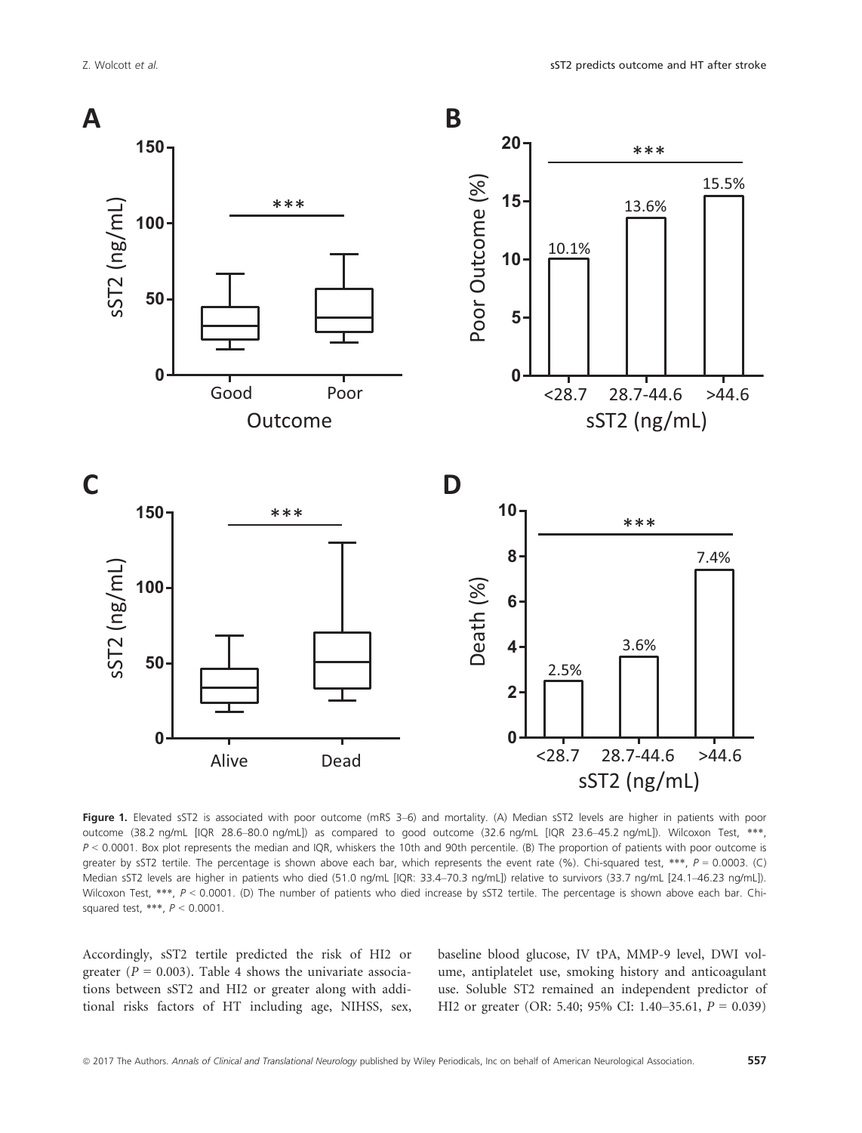

Figure 1. Elevated sST2 is associated with poor outcome (mRS 3-6) and mortality. (A) Median sST2 levels are higher in patients with poor outcome (38.2 ng/mL [IQR 28.6–80.0 ng/mL]) as compared to good outcome (32.6 ng/mL [IQR 23.6–45.2 ng/mL]). Wilcoxon Test, \*\*\*,  $P < 0.0001$ . Box plot represents the median and IQR, whiskers the 10th and 90th percentile. (B) The proportion of patients with poor outcome is greater by sST2 tertile. The percentage is shown above each bar, which represents the event rate (%). Chi-squared test, \*\*\*, P = 0.0003. (C) Median sST2 levels are higher in patients who died (51.0 ng/mL [IQR: 33.4–70.3 ng/mL]) relative to survivors (33.7 ng/mL [24.1–46.23 ng/mL]). Wilcoxon Test, \*\*\*, P < 0.0001. (D) The number of patients who died increase by sST2 tertile. The percentage is shown above each bar. Chisquared test, \*\*\*,  $P < 0.0001$ .

Accordingly, sST2 tertile predicted the risk of HI2 or greater ( $P = 0.003$ ). Table 4 shows the univariate associations between sST2 and HI2 or greater along with additional risks factors of HT including age, NIHSS, sex, baseline blood glucose, IV tPA, MMP-9 level, DWI volume, antiplatelet use, smoking history and anticoagulant use. Soluble ST2 remained an independent predictor of HI2 or greater (OR: 5.40; 95% CI: 1.40–35.61,  $P = 0.039$ )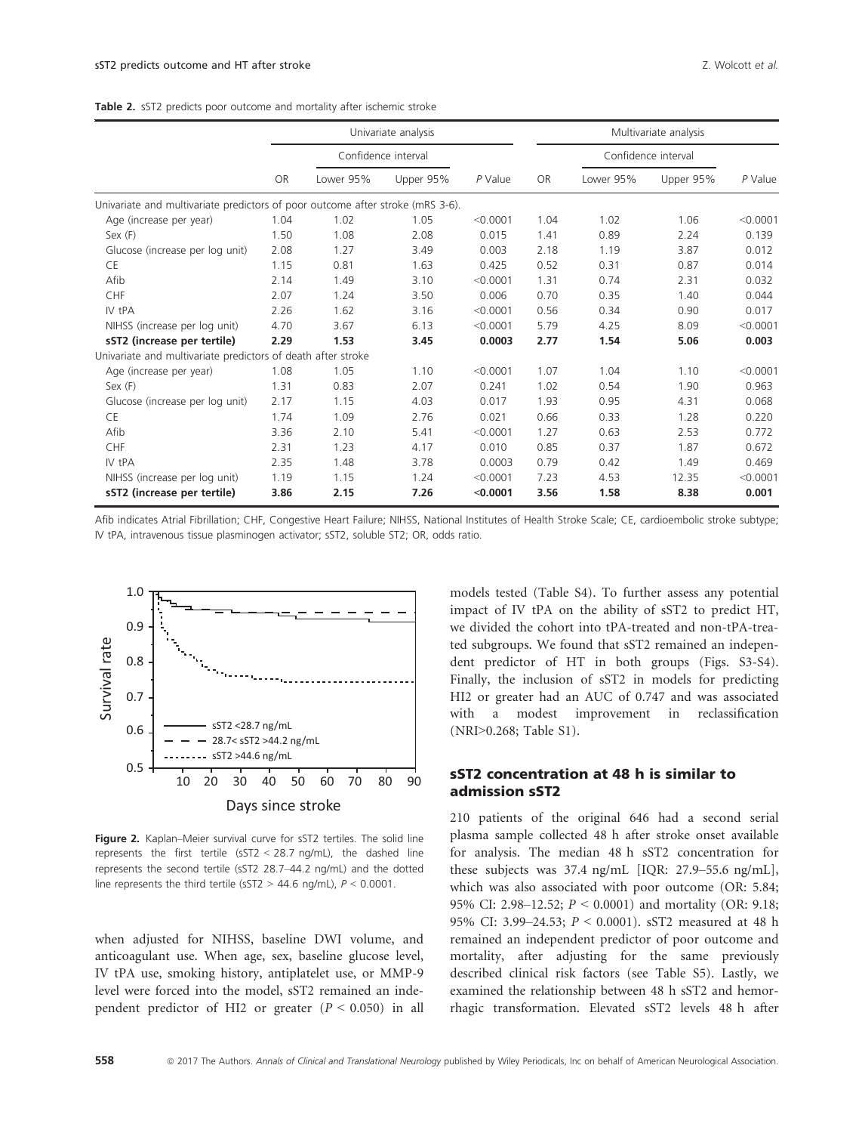|  |  |  |  |  |  | <b>Table 2.</b> sST2 predicts poor outcome and mortality after ischemic stroke |  |  |  |
|--|--|--|--|--|--|--------------------------------------------------------------------------------|--|--|--|
|--|--|--|--|--|--|--------------------------------------------------------------------------------|--|--|--|

|                                                                                |      |                     | Univariate analysis |           | Multivariate analysis |                     |           |           |  |
|--------------------------------------------------------------------------------|------|---------------------|---------------------|-----------|-----------------------|---------------------|-----------|-----------|--|
|                                                                                |      | Confidence interval |                     |           |                       | Confidence interval |           |           |  |
|                                                                                | OR   | Lower 95%           | Upper 95%           | $P$ Value | <b>OR</b>             | Lower 95%           | Upper 95% | $P$ Value |  |
| Univariate and multivariate predictors of poor outcome after stroke (mRS 3-6). |      |                     |                     |           |                       |                     |           |           |  |
| Age (increase per year)                                                        | 1.04 | 1.02                | 1.05                | < 0.0001  | 1.04                  | 1.02                | 1.06      | < 0.0001  |  |
| Sex (F)                                                                        | 1.50 | 1.08                | 2.08                | 0.015     | 1.41                  | 0.89                | 2.24      | 0.139     |  |
| Glucose (increase per log unit)                                                | 2.08 | 1.27                | 3.49                | 0.003     | 2.18                  | 1.19                | 3.87      | 0.012     |  |
| CE                                                                             | 1.15 | 0.81                | 1.63                | 0.425     | 0.52                  | 0.31                | 0.87      | 0.014     |  |
| Afib                                                                           | 2.14 | 1.49                | 3.10                | < 0.0001  | 1.31                  | 0.74                | 2.31      | 0.032     |  |
| CHF                                                                            | 2.07 | 1.24                | 3.50                | 0.006     | 0.70                  | 0.35                | 1.40      | 0.044     |  |
| IV tPA                                                                         | 2.26 | 1.62                | 3.16                | < 0.0001  | 0.56                  | 0.34                | 0.90      | 0.017     |  |
| NIHSS (increase per log unit)                                                  | 4.70 | 3.67                | 6.13                | < 0.0001  | 5.79                  | 4.25                | 8.09      | < 0.0001  |  |
| sST2 (increase per tertile)                                                    | 2.29 | 1.53                | 3.45                | 0.0003    | 2.77                  | 1.54                | 5.06      | 0.003     |  |
| Univariate and multivariate predictors of death after stroke                   |      |                     |                     |           |                       |                     |           |           |  |
| Age (increase per year)                                                        | 1.08 | 1.05                | 1.10                | < 0.0001  | 1.07                  | 1.04                | 1.10      | < 0.0001  |  |
| Sex (F)                                                                        | 1.31 | 0.83                | 2.07                | 0.241     | 1.02                  | 0.54                | 1.90      | 0.963     |  |
| Glucose (increase per log unit)                                                | 2.17 | 1.15                | 4.03                | 0.017     | 1.93                  | 0.95                | 4.31      | 0.068     |  |
| CE                                                                             | 1.74 | 1.09                | 2.76                | 0.021     | 0.66                  | 0.33                | 1.28      | 0.220     |  |
| Afib                                                                           | 3.36 | 2.10                | 5.41                | < 0.0001  | 1.27                  | 0.63                | 2.53      | 0.772     |  |
| CHF                                                                            | 2.31 | 1.23                | 4.17                | 0.010     | 0.85                  | 0.37                | 1.87      | 0.672     |  |
| IV tPA                                                                         | 2.35 | 1.48                | 3.78                | 0.0003    | 0.79                  | 0.42                | 1.49      | 0.469     |  |
| NIHSS (increase per log unit)                                                  | 1.19 | 1.15                | 1.24                | < 0.0001  | 7.23                  | 4.53                | 12.35     | < 0.0001  |  |
| sST2 (increase per tertile)                                                    | 3.86 | 2.15                | 7.26                | < 0.0001  | 3.56                  | 1.58                | 8.38      | 0.001     |  |

Afib indicates Atrial Fibrillation; CHF, Congestive Heart Failure; NIHSS, National Institutes of Health Stroke Scale; CE, cardioembolic stroke subtype; IV tPA, intravenous tissue plasminogen activator; sST2, soluble ST2; OR, odds ratio.



Figure 2. Kaplan–Meier survival curve for sST2 tertiles. The solid line represents the first tertile (sST2 < 28.7 ng/mL), the dashed line represents the second tertile (sST2 28.7–44.2 ng/mL) and the dotted line represents the third tertile ( $sST2 > 44.6$  ng/mL),  $P < 0.0001$ .

when adjusted for NIHSS, baseline DWI volume, and anticoagulant use. When age, sex, baseline glucose level, IV tPA use, smoking history, antiplatelet use, or MMP-9 level were forced into the model, sST2 remained an independent predictor of HI2 or greater  $(P < 0.050)$  in all

models tested (Table S4). To further assess any potential impact of IV tPA on the ability of sST2 to predict HT, we divided the cohort into tPA-treated and non-tPA-treated subgroups. We found that sST2 remained an independent predictor of HT in both groups (Figs. S3-S4). Finally, the inclusion of sST2 in models for predicting HI2 or greater had an AUC of 0.747 and was associated with a modest improvement in reclassification (NRI>0.268; Table S1).

### sST2 concentration at 48 h is similar to admission sST2

210 patients of the original 646 had a second serial plasma sample collected 48 h after stroke onset available for analysis. The median 48 h sST2 concentration for these subjects was 37.4 ng/mL [IQR: 27.9–55.6 ng/mL], which was also associated with poor outcome (OR: 5.84; 95% CI: 2.98–12.52; P <sup>&</sup>lt; 0.0001) and mortality (OR: 9.18; 95% CI: 3.99–24.53; P <sup>&</sup>lt; 0.0001). sST2 measured at 48 h remained an independent predictor of poor outcome and mortality, after adjusting for the same previously described clinical risk factors (see Table S5). Lastly, we examined the relationship between 48 h sST2 and hemorrhagic transformation. Elevated sST2 levels 48 h after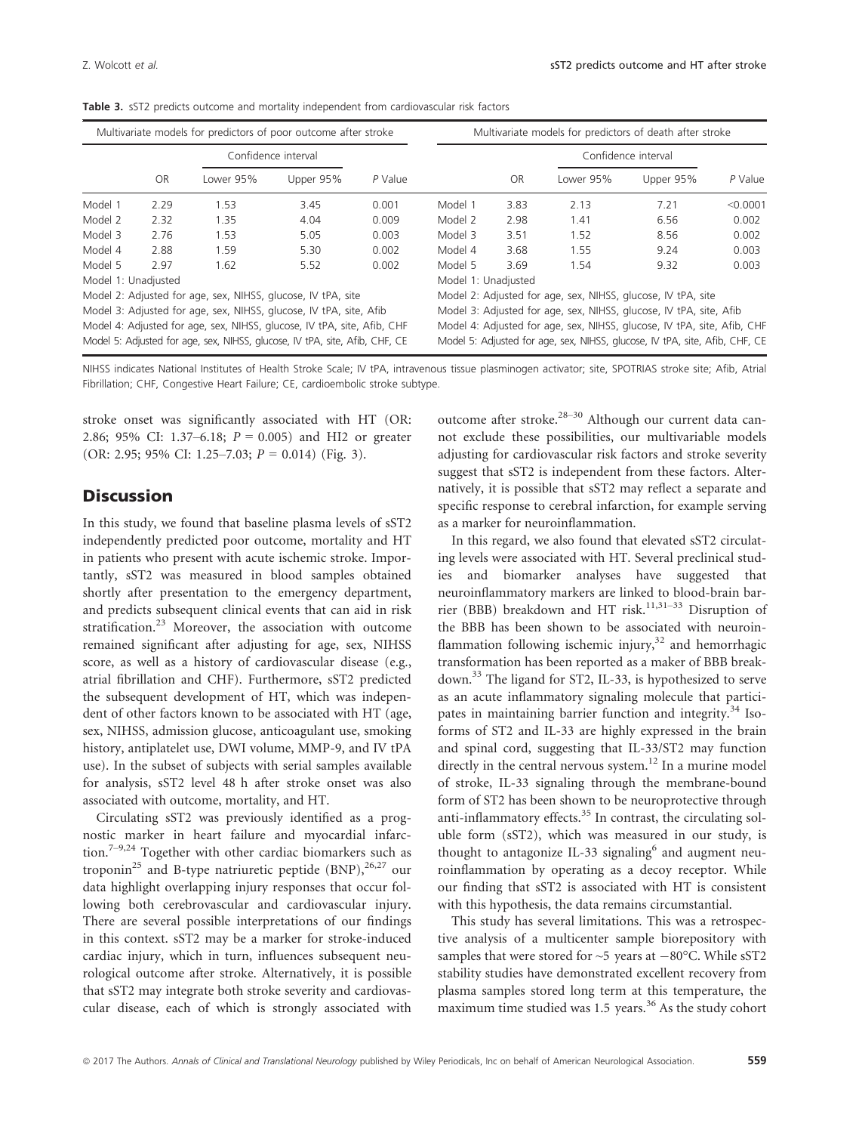| Multivariate models for predictors of poor outcome after stroke         |           |                                                                             |                     | Multivariate models for predictors of death after stroke                |                                                                             |           |                     |           |          |  |
|-------------------------------------------------------------------------|-----------|-----------------------------------------------------------------------------|---------------------|-------------------------------------------------------------------------|-----------------------------------------------------------------------------|-----------|---------------------|-----------|----------|--|
|                                                                         |           |                                                                             | Confidence interval |                                                                         |                                                                             |           | Confidence interval |           |          |  |
|                                                                         | <b>OR</b> | Lower 95%                                                                   | Upper 95%           | P Value                                                                 |                                                                             | <b>OR</b> | Lower 95%           | Upper 95% | P Value  |  |
| Model 1                                                                 | 2.29      | 1.53                                                                        | 3.45                | 0.001                                                                   | Model 1                                                                     | 3.83      | 2.13                | 7.21      | < 0.0001 |  |
| Model 2                                                                 | 2.32      | 1.35                                                                        | 4.04                | 0.009                                                                   | Model 2                                                                     | 2.98      | 1.41                | 6.56      | 0.002    |  |
| Model 3                                                                 | 2.76      | 1.53                                                                        | 5.05                | 0.003                                                                   | Model 3                                                                     | 3.51      | 1.52                | 8.56      | 0.002    |  |
| Model 4                                                                 | 2.88      | 1.59                                                                        | 5.30                | 0.002                                                                   | Model 4                                                                     | 3.68      | 1.55                | 9.24      | 0.003    |  |
| Model 5                                                                 | 2.97      | 1.62                                                                        | 5.52                | 0.002                                                                   | Model 5                                                                     | 3.69      | 1.54                | 9.32      | 0.003    |  |
| Model 1: Unadjusted                                                     |           |                                                                             |                     |                                                                         | Model 1: Unadjusted                                                         |           |                     |           |          |  |
| Model 2: Adjusted for age, sex, NIHSS, glucose, IV tPA, site            |           |                                                                             |                     | Model 2: Adjusted for age, sex, NIHSS, glucose, IV tPA, site            |                                                                             |           |                     |           |          |  |
| Model 3: Adjusted for age, sex, NIHSS, glucose, IV tPA, site, Afib      |           |                                                                             |                     | Model 3: Adjusted for age, sex, NIHSS, glucose, IV tPA, site, Afib      |                                                                             |           |                     |           |          |  |
| Model 4: Adjusted for age, sex, NIHSS, glucose, IV tPA, site, Afib, CHF |           |                                                                             |                     | Model 4: Adjusted for age, sex, NIHSS, glucose, IV tPA, site, Afib, CHF |                                                                             |           |                     |           |          |  |
|                                                                         |           | Model 5: Adjusted for age, sex, NIHSS, glucose, IV tPA, site, Afib, CHF, CE |                     |                                                                         | Model 5: Adjusted for age, sex, NIHSS, glucose, IV tPA, site, Afib, CHF, CE |           |                     |           |          |  |

Table 3. sST2 predicts outcome and mortality independent from cardiovascular risk factors

NIHSS indicates National Institutes of Health Stroke Scale; IV tPA, intravenous tissue plasminogen activator; site, SPOTRIAS stroke site; Afib, Atrial Fibrillation; CHF, Congestive Heart Failure; CE, cardioembolic stroke subtype.

stroke onset was significantly associated with HT (OR: 2.86; 95% CI: 1.37–6.18;  $P = 0.005$ ) and HI2 or greater (OR: 2.95; 95% CI: 1.25–7.03;  $P = 0.014$ ) (Fig. 3).

### **Discussion**

In this study, we found that baseline plasma levels of sST2 independently predicted poor outcome, mortality and HT in patients who present with acute ischemic stroke. Importantly, sST2 was measured in blood samples obtained shortly after presentation to the emergency department, and predicts subsequent clinical events that can aid in risk stratification.<sup>23</sup> Moreover, the association with outcome remained significant after adjusting for age, sex, NIHSS score, as well as a history of cardiovascular disease (e.g., atrial fibrillation and CHF). Furthermore, sST2 predicted the subsequent development of HT, which was independent of other factors known to be associated with HT (age, sex, NIHSS, admission glucose, anticoagulant use, smoking history, antiplatelet use, DWI volume, MMP-9, and IV tPA use). In the subset of subjects with serial samples available for analysis, sST2 level 48 h after stroke onset was also associated with outcome, mortality, and HT.

Circulating sST2 was previously identified as a prognostic marker in heart failure and myocardial infarction.<sup>7–9,24</sup> Together with other cardiac biomarkers such as troponin<sup>25</sup> and B-type natriuretic peptide  $(BNP)$ , <sup>26,27</sup> our data highlight overlapping injury responses that occur following both cerebrovascular and cardiovascular injury. There are several possible interpretations of our findings in this context. sST2 may be a marker for stroke-induced cardiac injury, which in turn, influences subsequent neurological outcome after stroke. Alternatively, it is possible that sST2 may integrate both stroke severity and cardiovascular disease, each of which is strongly associated with outcome after stroke.28–<sup>30</sup> Although our current data cannot exclude these possibilities, our multivariable models adjusting for cardiovascular risk factors and stroke severity suggest that sST2 is independent from these factors. Alternatively, it is possible that sST2 may reflect a separate and specific response to cerebral infarction, for example serving as a marker for neuroinflammation.

In this regard, we also found that elevated sST2 circulating levels were associated with HT. Several preclinical studies and biomarker analyses have suggested that neuroinflammatory markers are linked to blood-brain barrier (BBB) breakdown and HT risk.<sup>11,31–33</sup> Disruption of the BBB has been shown to be associated with neuroinflammation following ischemic injury, $32$  and hemorrhagic transformation has been reported as a maker of BBB breakdown.33 The ligand for ST2, IL-33, is hypothesized to serve as an acute inflammatory signaling molecule that participates in maintaining barrier function and integrity.<sup>34</sup> Isoforms of ST2 and IL-33 are highly expressed in the brain and spinal cord, suggesting that IL-33/ST2 may function directly in the central nervous system.<sup>12</sup> In a murine model of stroke, IL-33 signaling through the membrane-bound form of ST2 has been shown to be neuroprotective through anti-inflammatory effects.<sup>35</sup> In contrast, the circulating soluble form (sST2), which was measured in our study, is thought to antagonize IL-33 signaling $6$  and augment neuroinflammation by operating as a decoy receptor. While our finding that sST2 is associated with HT is consistent with this hypothesis, the data remains circumstantial.

This study has several limitations. This was a retrospective analysis of a multicenter sample biorepository with samples that were stored for  $\sim$ 5 years at  $-80^{\circ}$ C. While sST2 stability studies have demonstrated excellent recovery from plasma samples stored long term at this temperature, the maximum time studied was 1.5 years.<sup>36</sup> As the study cohort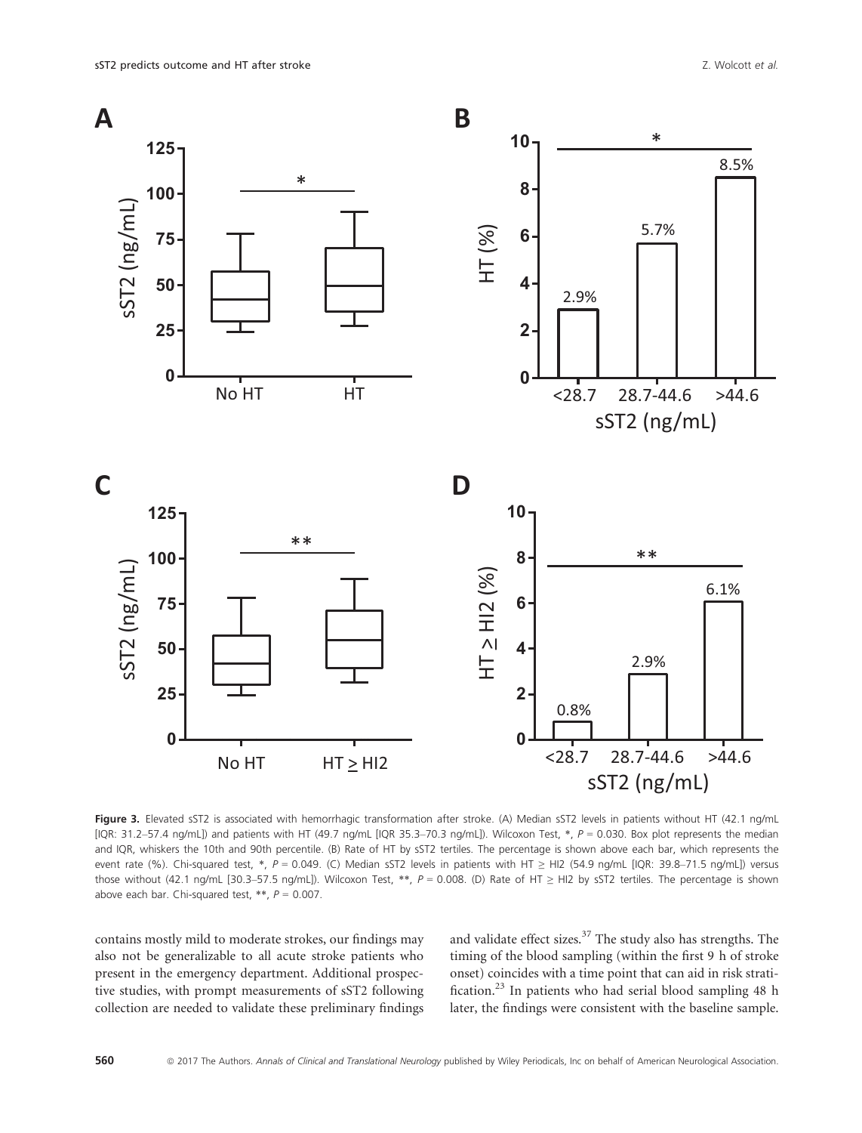

Figure 3. Elevated sST2 is associated with hemorrhagic transformation after stroke. (A) Median sST2 levels in patients without HT (42.1 ng/mL [IQR: 31.2-57.4 ng/mL]) and patients with HT (49.7 ng/mL [IQR 35.3-70.3 ng/mL]). Wilcoxon Test,  $*$ ,  $P = 0.030$ . Box plot represents the median and IQR, whiskers the 10th and 90th percentile. (B) Rate of HT by sST2 tertiles. The percentage is shown above each bar, which represents the event rate (%). Chi-squared test, \*, P = 0.049. (C) Median sST2 levels in patients with HT ≥ HI2 (54.9 ng/mL [IQR: 39.8–71.5 ng/mL]) versus those without (42.1 ng/mL [30.3–57.5 ng/mL]). Wilcoxon Test, \*\*,  $P = 0.008$ . (D) Rate of HT  $\geq$  HI2 by sST2 tertiles. The percentage is shown above each bar. Chi-squared test,  $**$ ,  $P = 0.007$ .

contains mostly mild to moderate strokes, our findings may also not be generalizable to all acute stroke patients who present in the emergency department. Additional prospective studies, with prompt measurements of sST2 following collection are needed to validate these preliminary findings

and validate effect sizes.<sup>37</sup> The study also has strengths. The timing of the blood sampling (within the first 9 h of stroke onset) coincides with a time point that can aid in risk stratification.<sup>23</sup> In patients who had serial blood sampling 48 h later, the findings were consistent with the baseline sample.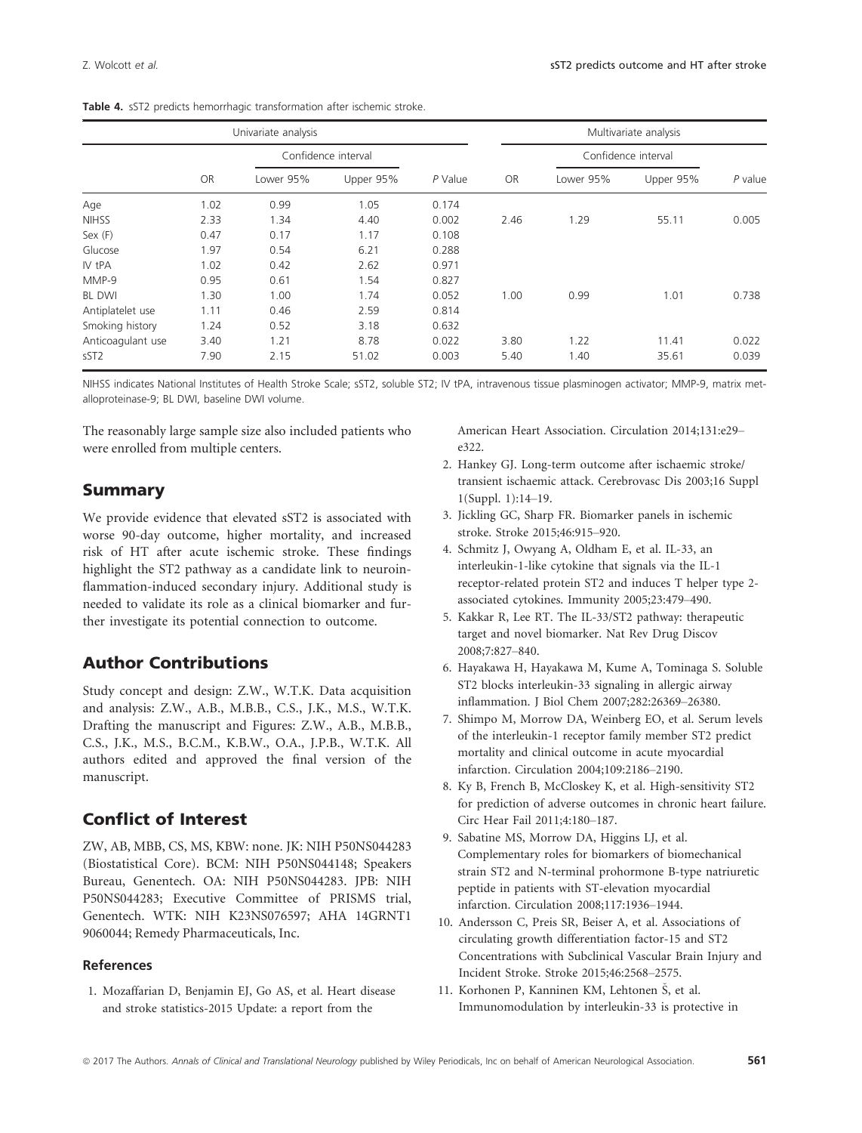| Univariate analysis |           |           |                     |         |           |           | Multivariate analysis |         |
|---------------------|-----------|-----------|---------------------|---------|-----------|-----------|-----------------------|---------|
|                     |           |           | Confidence interval |         |           |           | Confidence interval   |         |
|                     | <b>OR</b> | Lower 95% | Upper 95%           | P Value | <b>OR</b> | Lower 95% | Upper 95%             | P value |
| Age                 | 1.02      | 0.99      | 1.05                | 0.174   |           |           |                       |         |
| <b>NIHSS</b>        | 2.33      | 1.34      | 4.40                | 0.002   | 2.46      | 1.29      | 55.11                 | 0.005   |
| Sex(F)              | 0.47      | 0.17      | 1.17                | 0.108   |           |           |                       |         |
| Glucose             | 1.97      | 0.54      | 6.21                | 0.288   |           |           |                       |         |
| IV tPA              | 1.02      | 0.42      | 2.62                | 0.971   |           |           |                       |         |
| MMP-9               | 0.95      | 0.61      | 1.54                | 0.827   |           |           |                       |         |
| <b>BL DWI</b>       | 1.30      | 1.00      | 1.74                | 0.052   | 1.00      | 0.99      | 1.01                  | 0.738   |
| Antiplatelet use    | 1.11      | 0.46      | 2.59                | 0.814   |           |           |                       |         |
| Smoking history     | 1.24      | 0.52      | 3.18                | 0.632   |           |           |                       |         |
| Anticoagulant use   | 3.40      | 1.21      | 8.78                | 0.022   | 3.80      | 1.22      | 11.41                 | 0.022   |
| sST <sub>2</sub>    | 7.90      | 2.15      | 51.02               | 0.003   | 5.40      | 1.40      | 35.61                 | 0.039   |

Table 4. sST2 predicts hemorrhagic transformation after ischemic stroke.

NIHSS indicates National Institutes of Health Stroke Scale; sST2, soluble ST2; IV tPA, intravenous tissue plasminogen activator; MMP-9, matrix metalloproteinase-9; BL DWI, baseline DWI volume.

The reasonably large sample size also included patients who were enrolled from multiple centers.

### Summary

We provide evidence that elevated sST2 is associated with worse 90-day outcome, higher mortality, and increased risk of HT after acute ischemic stroke. These findings highlight the ST2 pathway as a candidate link to neuroinflammation-induced secondary injury. Additional study is needed to validate its role as a clinical biomarker and further investigate its potential connection to outcome.

# Author Contributions

Study concept and design: Z.W., W.T.K. Data acquisition and analysis: Z.W., A.B., M.B.B., C.S., J.K., M.S., W.T.K. Drafting the manuscript and Figures: Z.W., A.B., M.B.B., C.S., J.K., M.S., B.C.M., K.B.W., O.A., J.P.B., W.T.K. All authors edited and approved the final version of the manuscript.

## Conflict of Interest

ZW, AB, MBB, CS, MS, KBW: none. JK: NIH P50NS044283 (Biostatistical Core). BCM: NIH P50NS044148; Speakers Bureau, Genentech. OA: NIH P50NS044283. JPB: NIH P50NS044283; Executive Committee of PRISMS trial, Genentech. WTK: NIH K23NS076597; AHA 14GRNT1 9060044; Remedy Pharmaceuticals, Inc.

### References

1. Mozaffarian D, Benjamin EJ, Go AS, et al. Heart disease and stroke statistics-2015 Update: a report from the

American Heart Association. Circulation 2014;131:e29– e322

- 2. Hankey GJ. Long-term outcome after ischaemic stroke/ transient ischaemic attack. Cerebrovasc Dis 2003;16 Suppl 1(Suppl. 1):14–19.
- 3. Jickling GC, Sharp FR. Biomarker panels in ischemic stroke. Stroke 2015;46:915–920.
- 4. Schmitz J, Owyang A, Oldham E, et al. IL-33, an interleukin-1-like cytokine that signals via the IL-1 receptor-related protein ST2 and induces T helper type 2 associated cytokines. Immunity 2005;23:479–490.
- 5. Kakkar R, Lee RT. The IL-33/ST2 pathway: therapeutic target and novel biomarker. Nat Rev Drug Discov 2008;7:827–840.
- 6. Hayakawa H, Hayakawa M, Kume A, Tominaga S. Soluble ST2 blocks interleukin-33 signaling in allergic airway inflammation. J Biol Chem 2007;282:26369–26380.
- 7. Shimpo M, Morrow DA, Weinberg EO, et al. Serum levels of the interleukin-1 receptor family member ST2 predict mortality and clinical outcome in acute myocardial infarction. Circulation 2004;109:2186–2190.
- 8. Ky B, French B, McCloskey K, et al. High-sensitivity ST2 for prediction of adverse outcomes in chronic heart failure. Circ Hear Fail 2011;4:180–187.
- 9. Sabatine MS, Morrow DA, Higgins LJ, et al. Complementary roles for biomarkers of biomechanical strain ST2 and N-terminal prohormone B-type natriuretic peptide in patients with ST-elevation myocardial infarction. Circulation 2008;117:1936–1944.
- 10. Andersson C, Preis SR, Beiser A, et al. Associations of circulating growth differentiation factor-15 and ST2 Concentrations with Subclinical Vascular Brain Injury and Incident Stroke. Stroke 2015;46:2568–2575.
- 11. Korhonen P, Kanninen KM, Lehtonen S, et al. Immunomodulation by interleukin-33 is protective in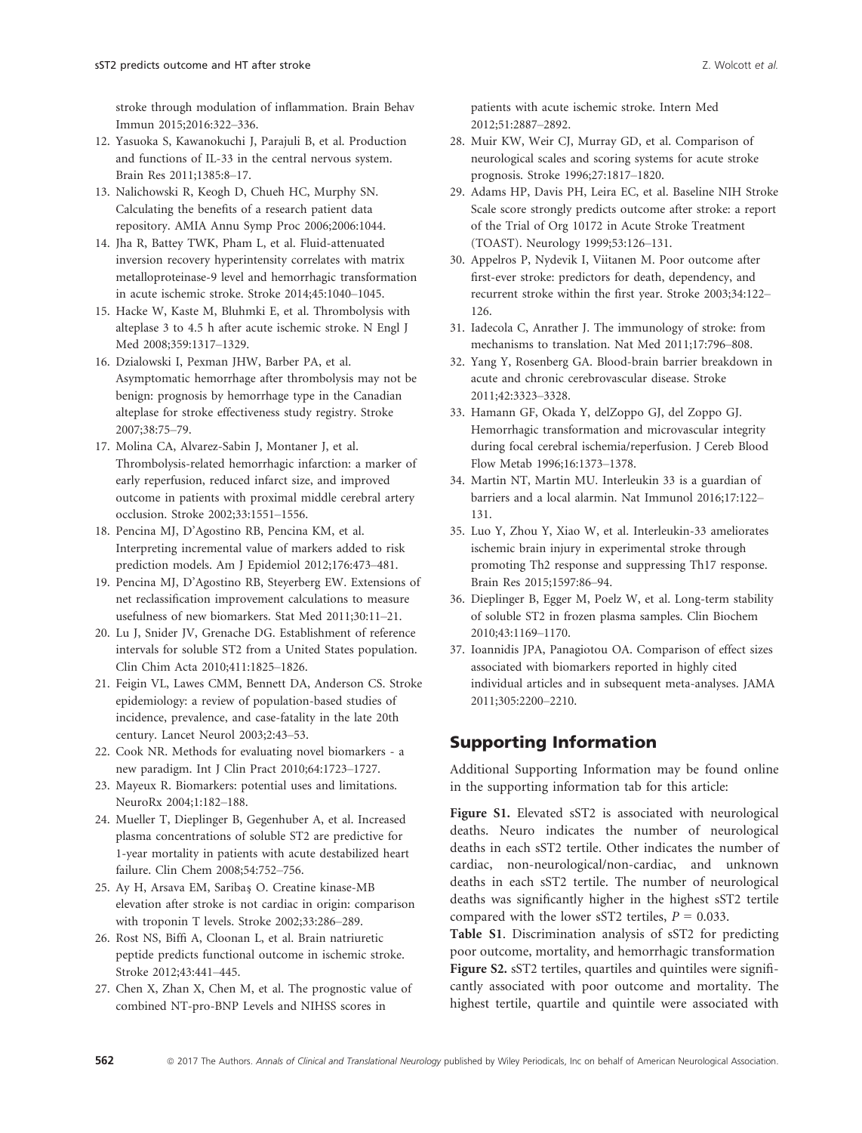- 12. Yasuoka S, Kawanokuchi J, Parajuli B, et al. Production and functions of IL-33 in the central nervous system. Brain Res 2011;1385:8–17.
- 13. Nalichowski R, Keogh D, Chueh HC, Murphy SN. Calculating the benefits of a research patient data repository. AMIA Annu Symp Proc 2006;2006:1044.
- 14. Jha R, Battey TWK, Pham L, et al. Fluid-attenuated inversion recovery hyperintensity correlates with matrix metalloproteinase-9 level and hemorrhagic transformation in acute ischemic stroke. Stroke 2014;45:1040–1045.
- 15. Hacke W, Kaste M, Bluhmki E, et al. Thrombolysis with alteplase 3 to 4.5 h after acute ischemic stroke. N Engl J Med 2008;359:1317–1329.
- 16. Dzialowski I, Pexman JHW, Barber PA, et al. Asymptomatic hemorrhage after thrombolysis may not be benign: prognosis by hemorrhage type in the Canadian alteplase for stroke effectiveness study registry. Stroke 2007;38:75–79.
- 17. Molina CA, Alvarez-Sabin J, Montaner J, et al. Thrombolysis-related hemorrhagic infarction: a marker of early reperfusion, reduced infarct size, and improved outcome in patients with proximal middle cerebral artery occlusion. Stroke 2002;33:1551–1556.
- 18. Pencina MJ, D'Agostino RB, Pencina KM, et al. Interpreting incremental value of markers added to risk prediction models. Am J Epidemiol 2012;176:473–481.
- 19. Pencina MJ, D'Agostino RB, Steyerberg EW. Extensions of net reclassification improvement calculations to measure usefulness of new biomarkers. Stat Med 2011;30:11–21.
- 20. Lu J, Snider JV, Grenache DG. Establishment of reference intervals for soluble ST2 from a United States population. Clin Chim Acta 2010;411:1825–1826.
- 21. Feigin VL, Lawes CMM, Bennett DA, Anderson CS. Stroke epidemiology: a review of population-based studies of incidence, prevalence, and case-fatality in the late 20th century. Lancet Neurol 2003;2:43–53.
- 22. Cook NR. Methods for evaluating novel biomarkers a new paradigm. Int J Clin Pract 2010;64:1723–1727.
- 23. Mayeux R. Biomarkers: potential uses and limitations. NeuroRx 2004;1:182–188.
- 24. Mueller T, Dieplinger B, Gegenhuber A, et al. Increased plasma concentrations of soluble ST2 are predictive for 1-year mortality in patients with acute destabilized heart failure. Clin Chem 2008;54:752–756.
- 25. Ay H, Arsava EM, Saribas O. Creatine kinase-MB elevation after stroke is not cardiac in origin: comparison with troponin T levels. Stroke 2002;33:286–289.
- 26. Rost NS, Biffi A, Cloonan L, et al. Brain natriuretic peptide predicts functional outcome in ischemic stroke. Stroke 2012;43:441–445.
- 27. Chen X, Zhan X, Chen M, et al. The prognostic value of combined NT-pro-BNP Levels and NIHSS scores in

patients with acute ischemic stroke. Intern Med 2012;51:2887–2892.

- 28. Muir KW, Weir CJ, Murray GD, et al. Comparison of neurological scales and scoring systems for acute stroke prognosis. Stroke 1996;27:1817–1820.
- 29. Adams HP, Davis PH, Leira EC, et al. Baseline NIH Stroke Scale score strongly predicts outcome after stroke: a report of the Trial of Org 10172 in Acute Stroke Treatment (TOAST). Neurology 1999;53:126–131.
- 30. Appelros P, Nydevik I, Viitanen M. Poor outcome after first-ever stroke: predictors for death, dependency, and recurrent stroke within the first year. Stroke 2003;34:122– 126.
- 31. Iadecola C, Anrather J. The immunology of stroke: from mechanisms to translation. Nat Med 2011;17:796–808.
- 32. Yang Y, Rosenberg GA. Blood-brain barrier breakdown in acute and chronic cerebrovascular disease. Stroke 2011;42:3323–3328.
- 33. Hamann GF, Okada Y, delZoppo GJ, del Zoppo GJ. Hemorrhagic transformation and microvascular integrity during focal cerebral ischemia/reperfusion. J Cereb Blood Flow Metab 1996;16:1373–1378.
- 34. Martin NT, Martin MU. Interleukin 33 is a guardian of barriers and a local alarmin. Nat Immunol 2016;17:122– 131.
- 35. Luo Y, Zhou Y, Xiao W, et al. Interleukin-33 ameliorates ischemic brain injury in experimental stroke through promoting Th2 response and suppressing Th17 response. Brain Res 2015;1597:86–94.
- 36. Dieplinger B, Egger M, Poelz W, et al. Long-term stability of soluble ST2 in frozen plasma samples. Clin Biochem 2010;43:1169–1170.
- 37. Ioannidis JPA, Panagiotou OA. Comparison of effect sizes associated with biomarkers reported in highly cited individual articles and in subsequent meta-analyses. JAMA 2011;305:2200–2210.

# Supporting Information

Additional Supporting Information may be found online in the supporting information tab for this article:

Figure S1. Elevated sST2 is associated with neurological deaths. Neuro indicates the number of neurological deaths in each sST2 tertile. Other indicates the number of cardiac, non-neurological/non-cardiac, and unknown deaths in each sST2 tertile. The number of neurological deaths was significantly higher in the highest sST2 tertile compared with the lower sST2 tertiles,  $P = 0.033$ .

Table S1. Discrimination analysis of sST2 for predicting poor outcome, mortality, and hemorrhagic transformation Figure S2. sST2 tertiles, quartiles and quintiles were significantly associated with poor outcome and mortality. The highest tertile, quartile and quintile were associated with